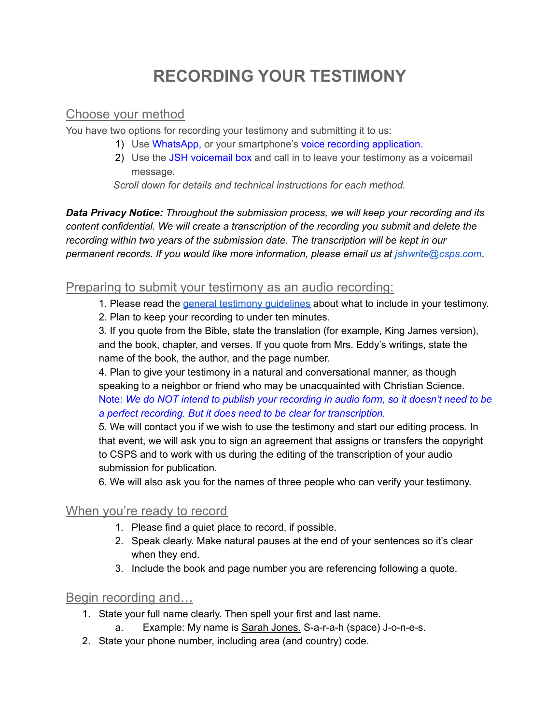# **RECORDING YOUR TESTIMONY**

### Choose your method

You have two options for recording your testimony and submitting it to us:

- 1) Use WhatsApp, or your smartphone's voice recording application.
- 2) Use the JSH voicemail box and call in to leave your testimony as a voicemail message.

*Scroll down for details and technical instructions for each method.*

*Data Privacy Notice: Throughout the submission process, we will keep your recording and its content confidential. We will create a transcription of the recording you submit and delete the recording within two years of the submission date. The transcription will be kept in our permanent records. If you would like more information, please email us at [jshwrite@csps.com](mailto:jshwrite@csps.com)*.

#### Preparing to submit your testimony as an audio recording:

1. Please read the general testimony [guidelines](https://pt.herald.christianscience.com/submit/orientacoes-testemunhos) about what to include in your testimony.

2. Plan to keep your recording to under ten minutes.

3. If you quote from the Bible, state the translation (for example, King James version), and the book, chapter, and verses. If you quote from Mrs. Eddy's writings, state the name of the book, the author, and the page number.

4. Plan to give your testimony in a natural and conversational manner, as though speaking to a neighbor or friend who may be unacquainted with Christian Science. Note: *We do NOT intend to publish your recording in audio form, so it doesn't need to be a perfect recording. But it does need to be clear for transcription.*

5. We will contact you if we wish to use the testimony and start our editing process. In that event, we will ask you to sign an agreement that assigns or transfers the copyright to CSPS and to work with us during the editing of the transcription of your audio submission for publication.

6. We will also ask you for the names of three people who can verify your testimony.

#### When you're ready to record

- 1. Please find a quiet place to record, if possible.
- 2. Speak clearly. Make natural pauses at the end of your sentences so it's clear when they end.
- 3. Include the book and page number you are referencing following a quote.

#### Begin recording and…

- 1. State your full name clearly. Then spell your first and last name.
	- a. Example: My name is Sarah Jones. S-a-r-a-h (space) J-o-n-e-s.
- 2. State your phone number, including area (and country) code.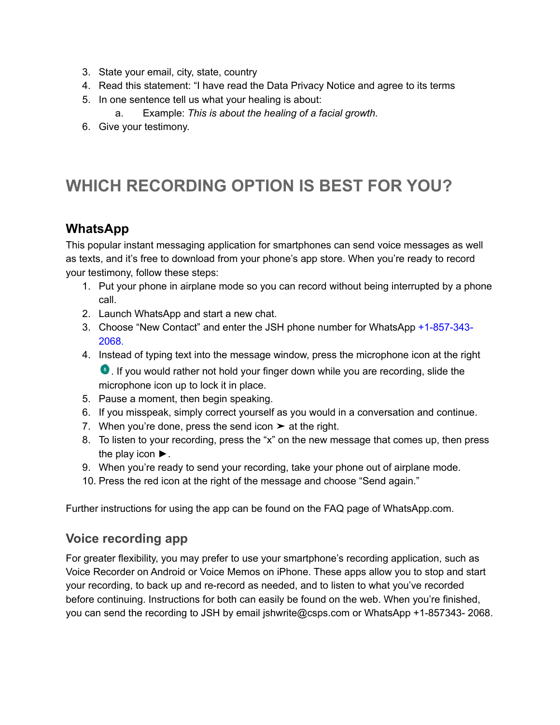- 3. State your email, city, state, country
- 4. Read this statement: "I have read the Data Privacy Notice and agree to its terms
- 5. In one sentence tell us what your healing is about:
	- a. Example: *This is about the healing of a facial growth.*
- 6. Give your testimony.

## **WHICH RECORDING OPTION IS BEST FOR YOU?**

### **WhatsApp**

This popular instant messaging application for smartphones can send voice messages as well as texts, and it's free to download from your phone's app store. When you're ready to record your testimony, follow these steps:

- 1. Put your phone in airplane mode so you can record without being interrupted by a phone call.
- 2. Launch WhatsApp and start a new chat.
- 3. Choose "New Contact" and enter the JSH phone number for WhatsApp +1-857-343- 2068.
- 4. Instead of typing text into the message window, press the microphone icon at the right . If you would rather not hold your finger down while you are recording, slide the microphone icon up to lock it in place.
- 5. Pause a moment, then begin speaking.
- 6. If you misspeak, simply correct yourself as you would in a conversation and continue.
- 7. When you're done, press the send icon  $\triangleright$  at the right.
- 8. To listen to your recording, press the "x" on the new message that comes up, then press the play icon ►.
- 9. When you're ready to send your recording, take your phone out of airplane mode.
- 10. Press the red icon at the right of the message and choose "Send again."

Further instructions for using the app can be found on the FAQ page of WhatsApp.com.

#### **Voice recording app**

For greater flexibility, you may prefer to use your smartphone's recording application, such as Voice Recorder on Android or Voice Memos on iPhone. These apps allow you to stop and start your recording, to back up and re-record as needed, and to listen to what you've recorded before continuing. Instructions for both can easily be found on the web. When you're finished, you can send the recording to JSH by email jshwrite@csps.com or WhatsApp +1-857343- 2068.